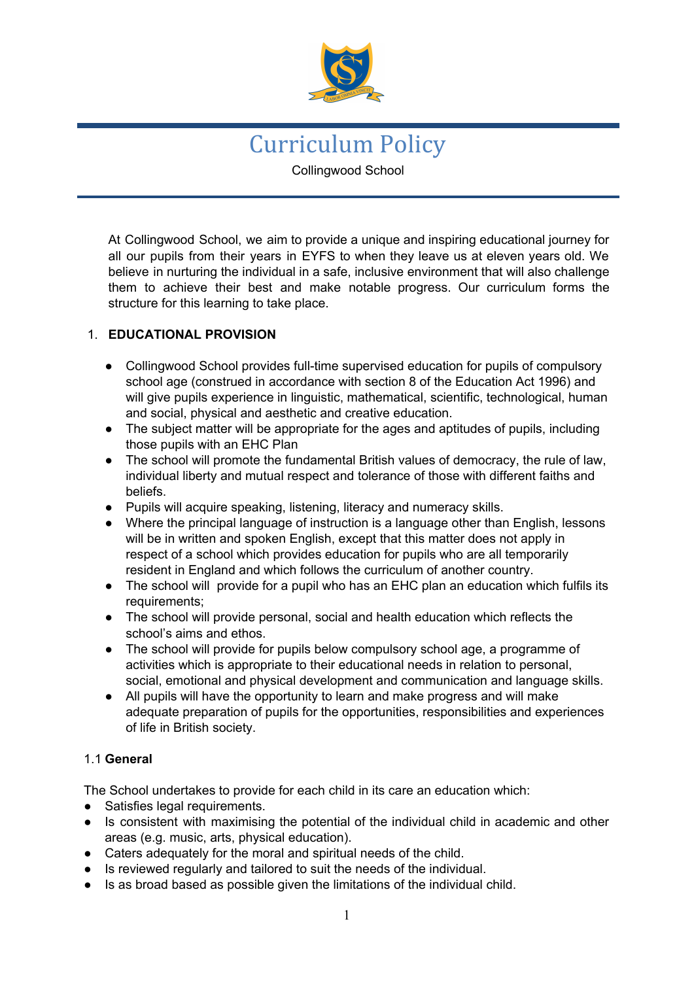

Curriculum Policy Collingwood School

At Collingwood School, we aim to provide a unique and inspiring educational journey for all our pupils from their years in EYFS to when they leave us at eleven years old. We believe in nurturing the individual in a safe, inclusive environment that will also challenge them to achieve their best and make notable progress. Our curriculum forms the structure for this learning to take place.

# 1. **EDUCATIONAL PROVISION**

- Collingwood School provides full-time supervised education for pupils of compulsory school age (construed in accordance with section 8 of the Education Act 1996) and will give pupils experience in linguistic, mathematical, scientific, technological, human and social, physical and aesthetic and creative education.
- The subject matter will be appropriate for the ages and aptitudes of pupils, including those pupils with an EHC Plan
- The school will promote the fundamental British values of democracy, the rule of law, individual liberty and mutual respect and tolerance of those with different faiths and beliefs.
- Pupils will acquire speaking, listening, literacy and numeracy skills.
- Where the principal language of instruction is a language other than English, lessons will be in written and spoken English, except that this matter does not apply in respect of a school which provides education for pupils who are all temporarily resident in England and which follows the curriculum of another country.
- The school will provide for a pupil who has an EHC plan an education which fulfils its requirements;
- The school will provide personal, social and health education which reflects the school's aims and ethos.
- The school will provide for pupils below compulsory school age, a programme of activities which is appropriate to their educational needs in relation to personal, social, emotional and physical development and communication and language skills.
- All pupils will have the opportunity to learn and make progress and will make adequate preparation of pupils for the opportunities, responsibilities and experiences of life in British society.

# 1.1 **General**

The School undertakes to provide for each child in its care an education which:

- Satisfies legal requirements.
- Is consistent with maximising the potential of the individual child in academic and other areas (e.g. music, arts, physical education).
- Caters adequately for the moral and spiritual needs of the child.
- Is reviewed regularly and tailored to suit the needs of the individual.
- Is as broad based as possible given the limitations of the individual child.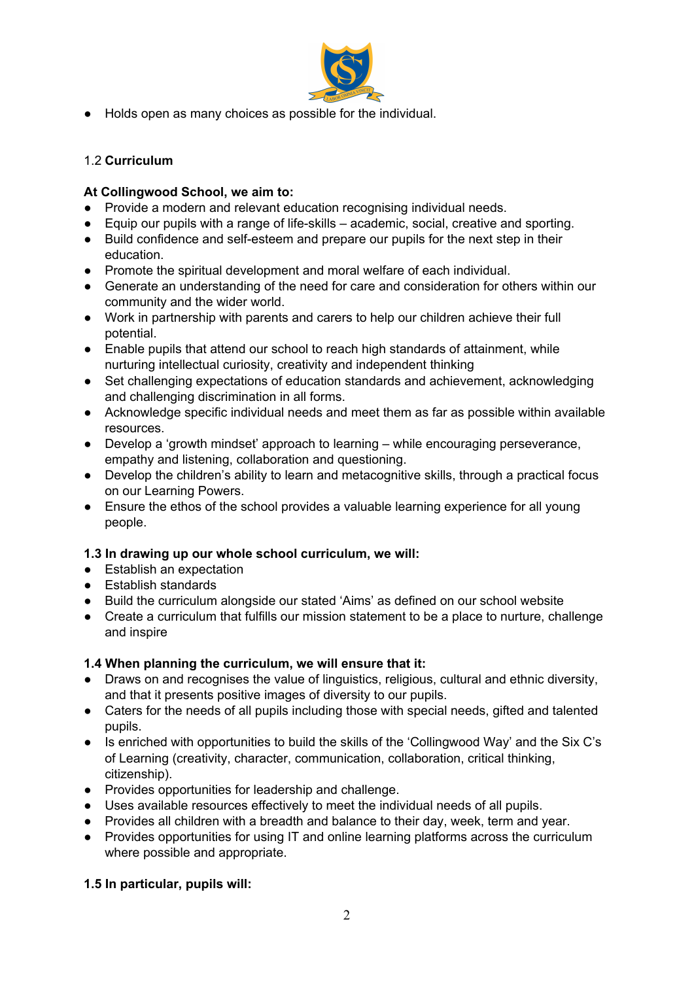

● Holds open as many choices as possible for the individual.

# 1.2 **Curriculum**

## **At Collingwood School, we aim to:**

- Provide a modern and relevant education recognising individual needs.
- Equip our pupils with a range of life-skills academic, social, creative and sporting.
- Build confidence and self-esteem and prepare our pupils for the next step in their education.
- Promote the spiritual development and moral welfare of each individual.
- Generate an understanding of the need for care and consideration for others within our community and the wider world.
- Work in partnership with parents and carers to help our children achieve their full potential.
- Enable pupils that attend our school to reach high standards of attainment, while nurturing intellectual curiosity, creativity and independent thinking
- Set challenging expectations of education standards and achievement, acknowledging and challenging discrimination in all forms.
- Acknowledge specific individual needs and meet them as far as possible within available resources.
- Develop a 'growth mindset' approach to learning while encouraging perseverance, empathy and listening, collaboration and questioning.
- Develop the children's ability to learn and metacognitive skills, through a practical focus on our Learning Powers.
- Ensure the ethos of the school provides a valuable learning experience for all young people.

# **1.3 In drawing up our whole school curriculum, we will:**

- Establish an expectation
- Establish standards
- Build the curriculum alongside our stated 'Aims' as defined on our school website
- Create a curriculum that fulfills our mission statement to be a place to nurture, challenge and inspire

#### **1.4 When planning the curriculum, we will ensure that it:**

- Draws on and recognises the value of linguistics, religious, cultural and ethnic diversity, and that it presents positive images of diversity to our pupils.
- Caters for the needs of all pupils including those with special needs, gifted and talented pupils.
- Is enriched with opportunities to build the skills of the 'Collingwood Way' and the Six C's of Learning (creativity, character, communication, collaboration, critical thinking, citizenship).
- Provides opportunities for leadership and challenge.
- Uses available resources effectively to meet the individual needs of all pupils.
- Provides all children with a breadth and balance to their day, week, term and year.
- Provides opportunities for using IT and online learning platforms across the curriculum where possible and appropriate.

# **1.5 In particular, pupils will:**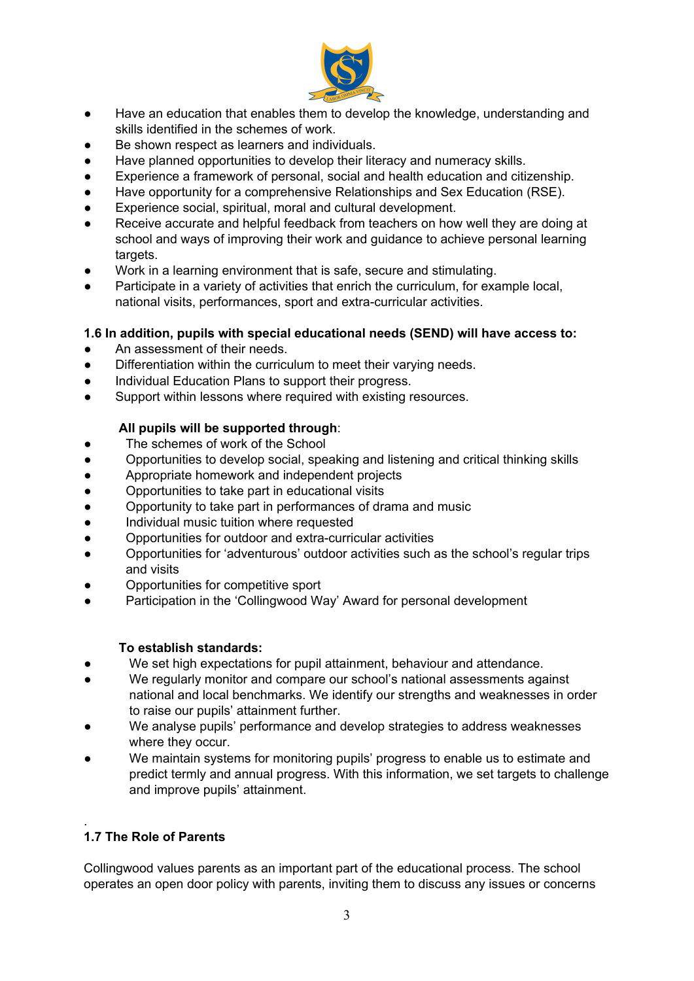

- Have an education that enables them to develop the knowledge, understanding and skills identified in the schemes of work.
- Be shown respect as learners and individuals.
- Have planned opportunities to develop their literacy and numeracy skills.
- Experience a framework of personal, social and health education and citizenship.
- Have opportunity for a comprehensive Relationships and Sex Education (RSE).
- Experience social, spiritual, moral and cultural development.
- Receive accurate and helpful feedback from teachers on how well they are doing at school and ways of improving their work and guidance to achieve personal learning targets.
- Work in a learning environment that is safe, secure and stimulating.
- Participate in a variety of activities that enrich the curriculum, for example local, national visits, performances, sport and extra-curricular activities.

## **1.6 In addition, pupils with special educational needs (SEND) will have access to:**

- An assessment of their needs.
- Differentiation within the curriculum to meet their varying needs.
- Individual Education Plans to support their progress.
- Support within lessons where required with existing resources.

## **All pupils will be supported through**:

- The schemes of work of the School
- Opportunities to develop social, speaking and listening and critical thinking skills
- Appropriate homework and independent projects
- Opportunities to take part in educational visits
- Opportunity to take part in performances of drama and music
- Individual music tuition where requested
- Opportunities for outdoor and extra-curricular activities
- Opportunities for 'adventurous' outdoor activities such as the school's regular trips and visits
- Opportunities for competitive sport
- Participation in the 'Collingwood Way' Award for personal development

#### **To establish standards:**

- We set high expectations for pupil attainment, behaviour and attendance.
- We regularly monitor and compare our school's national assessments against national and local benchmarks. We identify our strengths and weaknesses in order to raise our pupils' attainment further.
- We analyse pupils' performance and develop strategies to address weaknesses where they occur.
- We maintain systems for monitoring pupils' progress to enable us to estimate and predict termly and annual progress. With this information, we set targets to challenge and improve pupils' attainment.

# **1.7 The Role of Parents**

.

Collingwood values parents as an important part of the educational process. The school operates an open door policy with parents, inviting them to discuss any issues or concerns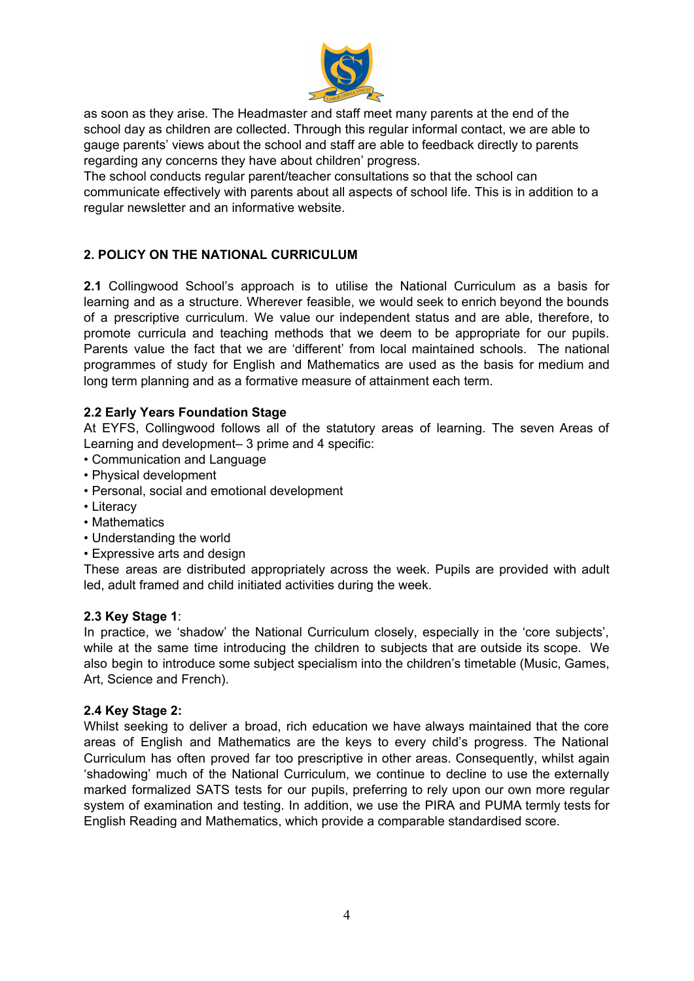

as soon as they arise. The Headmaster and staff meet many parents at the end of the school day as children are collected. Through this regular informal contact, we are able to gauge parents' views about the school and staff are able to feedback directly to parents regarding any concerns they have about children' progress.

The school conducts regular parent/teacher consultations so that the school can communicate effectively with parents about all aspects of school life. This is in addition to a regular newsletter and an informative website.

# **2. POLICY ON THE NATIONAL CURRICULUM**

**2.1** Collingwood School's approach is to utilise the National Curriculum as a basis for learning and as a structure. Wherever feasible, we would seek to enrich beyond the bounds of a prescriptive curriculum. We value our independent status and are able, therefore, to promote curricula and teaching methods that we deem to be appropriate for our pupils. Parents value the fact that we are 'different' from local maintained schools. The national programmes of study for English and Mathematics are used as the basis for medium and long term planning and as a formative measure of attainment each term.

## **2.2 Early Years Foundation Stage**

At EYFS, Collingwood follows all of the statutory areas of learning. The seven Areas of Learning and development– 3 prime and 4 specific:

- Communication and Language
- Physical development
- Personal, social and emotional development
- Literacy
- Mathematics
- Understanding the world
- Expressive arts and design

These areas are distributed appropriately across the week. Pupils are provided with adult led, adult framed and child initiated activities during the week.

#### **2.3 Key Stage 1**:

In practice, we 'shadow' the National Curriculum closely, especially in the 'core subjects', while at the same time introducing the children to subjects that are outside its scope. We also begin to introduce some subject specialism into the children's timetable (Music, Games, Art, Science and French).

#### **2.4 Key Stage 2:**

Whilst seeking to deliver a broad, rich education we have always maintained that the core areas of English and Mathematics are the keys to every child's progress. The National Curriculum has often proved far too prescriptive in other areas. Consequently, whilst again 'shadowing' much of the National Curriculum, we continue to decline to use the externally marked formalized SATS tests for our pupils, preferring to rely upon our own more regular system of examination and testing. In addition, we use the PIRA and PUMA termly tests for English Reading and Mathematics, which provide a comparable standardised score.